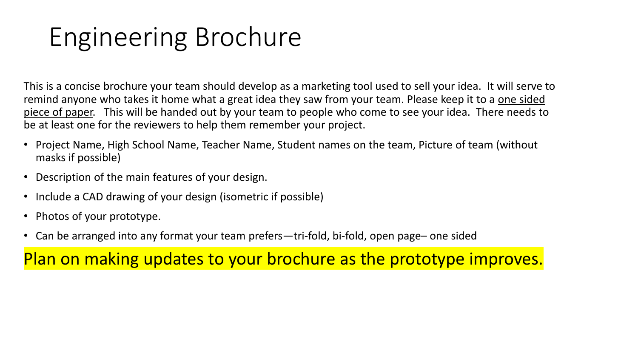## Engineering Brochure

This is a concise brochure your team should develop as a marketing tool used to sell your idea. It will serve to remind anyone who takes it home what a great idea they saw from your team. Please keep it to a one sided piece of paper. This will be handed out by your team to people who come to see your idea. There needs to be at least one for the reviewers to help them remember your project.

- Project Name, High School Name, Teacher Name, Student names on the team, Picture of team (without masks if possible)
- Description of the main features of your design.
- Include a CAD drawing of your design (isometric if possible)
- Photos of your prototype.
- Can be arranged into any format your team prefers—tri-fold, bi-fold, open page– one sided

Plan on making updates to your brochure as the prototype improves.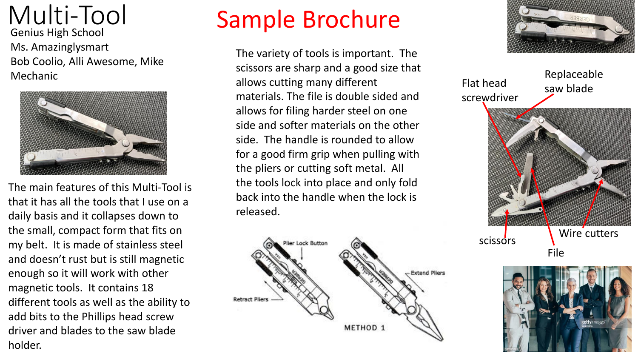Multi-Tool Genius High School Ms. Amazinglysmart Bob Coolio, Alli Awesome, Mike Mechanic



The main features of this Multi-Tool is that it has all the tools that I use on a daily basis and it collapses down to the small, compact form that fits on my belt. It is made of stainless steel and doesn't rust but is still magnetic enough so it will work with other magnetic tools. It contains 18 different tools as well as the ability to add bits to the Phillips head screw driver and blades to the saw blade holder.

### Sample Brochure

The variety of tools is important. The scissors are sharp and a good size that allows cutting many different materials. The file is double sided and allows for filing harder steel on one side and softer materials on the other side. The handle is rounded to allow for a good firm grip when pulling with the pliers or cutting soft metal. All the tools lock into place and only fold back into the handle when the lock is released.





Flat head screwdriver

Replaceable saw blade



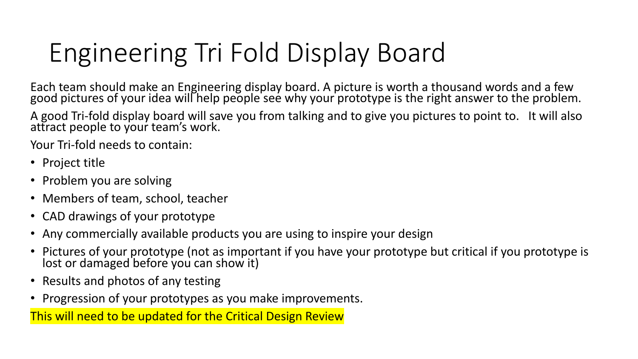# Engineering Tri Fold Display Board

Each team should make an Engineering display board. A picture is worth a thousand words and a few good pictures of your idea will help people see why your prototype is the right answer to the problem.

A good Tri-fold display board will save you from talking and to give you pictures to point to. It will also attract people to your team's work.

Your Tri-fold needs to contain:

- Project title
- Problem you are solving
- Members of team, school, teacher
- CAD drawings of your prototype
- Any commercially available products you are using to inspire your design
- Pictures of your prototype (not as important if you have your prototype but critical if you prototype is lost or damaged before you can show it)
- Results and photos of any testing
- Progression of your prototypes as you make improvements.

This will need to be updated for the Critical Design Review